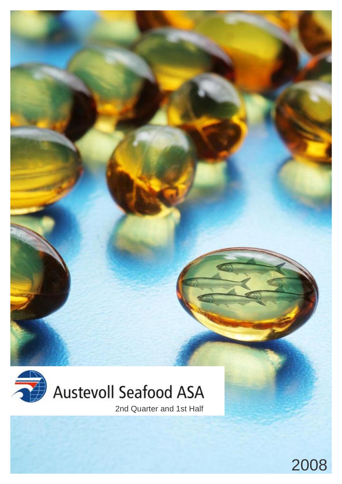

2nd Quarter and 1st Half

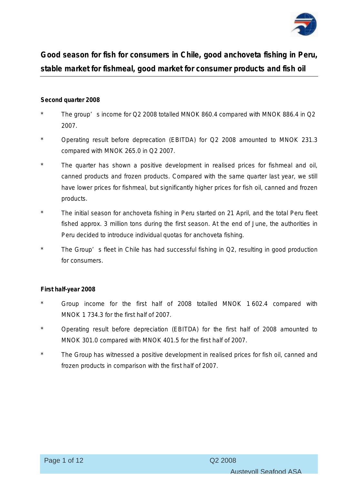

**Good season for fish for consumers in Chile, good anchoveta fishing in Peru, stable market for fishmeal, good market for consumer products and fish oil** 

# **Second quarter 2008**

- The group' s income for Q2 2008 totalled MNOK 860.4 compared with MNOK 886.4 in  $Q2$ 2007.
- Operating result before deprecation (EBITDA) for Q2 2008 amounted to MNOK 231.3 compared with MNOK 265.0 in Q2 2007.
- \* The quarter has shown a positive development in realised prices for fishmeal and oil, canned products and frozen products. Compared with the same quarter last year, we still have lower prices for fishmeal, but significantly higher prices for fish oil, canned and frozen products.
- \* The initial season for anchoveta fishing in Peru started on 21 April, and the total Peru fleet fished approx. 3 million tons during the first season. At the end of June, the authorities in Peru decided to introduce individual quotas for anchoveta fishing.
- The Group' s fleet in Chile has had successful fishing in Q2, resulting in good production for consumers.

# **First half-year 2008**

- Group income for the first half of 2008 totalled MNOK 1 602.4 compared with MNOK 1 734.3 for the first half of 2007.
- Operating result before depreciation (EBITDA) for the first half of 2008 amounted to MNOK 301.0 compared with MNOK 401.5 for the first half of 2007.
- The Group has witnessed a positive development in realised prices for fish oil, canned and frozen products in comparison with the first half of 2007.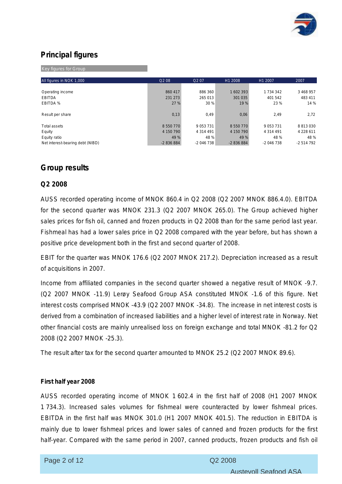

# **Principal figures**

Key figures for Group

| All figures in NOK 1,000         | Q <sub>2</sub> 08 | Q <sub>2</sub> 0 <sub>7</sub> | H1 2008    | H1 2007       | 2007          |
|----------------------------------|-------------------|-------------------------------|------------|---------------|---------------|
|                                  |                   |                               |            |               |               |
| Operating income                 | 860 417           | 886 360                       | 1602 393   | 1 734 342     | 3 468 957     |
| <b>EBITDA</b>                    | 231 273           | 265 013                       | 301 035    | 401 542       | 483 411       |
| EBITDA %                         | 27 %              | 30 %                          | 19 %       | 23 %          | 14 %          |
|                                  |                   |                               |            |               |               |
| Result per share                 | 0,13              | 0.49                          | 0,06       | 2,49          | 2,72          |
|                                  |                   |                               |            |               |               |
| <b>Total assets</b>              | 8 550 770         | 9 0 5 3 7 3 1                 | 8 550 770  | 9 0 5 3 7 3 1 | 8813030       |
| Equity                           | 4 150 790         | 4 3 1 4 4 9 1                 | 4 150 790  | 4 3 1 4 4 9 1 | 4 2 2 8 6 1 1 |
| Equity ratio                     | 49 %              | 48 %                          | 49 %       | 48 %          | 48 %          |
| Net interest-bearing debt (NIBD) | $-2836884$        | $-2046738$                    | $-2836884$ | $-2046738$    | $-2514792$    |

# **Group results**

#### **Q2 2008**

AUSS recorded operating income of MNOK 860.4 in Q2 2008 (Q2 2007 MNOK 886.4.0). EBITDA for the second quarter was MNOK 231.3 (Q2 2007 MNOK 265.0). The Group achieved higher sales prices for fish oil, canned and frozen products in Q2 2008 than for the same period last year. Fishmeal has had a lower sales price in Q2 2008 compared with the year before, but has shown a positive price development both in the first and second quarter of 2008.

EBIT for the quarter was MNOK 176.6 (Q2 2007 MNOK 217.2). Depreciation increased as a result of acquisitions in 2007.

Income from affiliated companies in the second quarter showed a negative result of MNOK -9.7. (Q2 2007 MNOK -11.9) Lerøy Seafood Group ASA constituted MNOK -1.6 of this figure. Net interest costs comprised MNOK -43.9 (Q2 2007 MNOK -34.8). The increase in net interest costs is derived from a combination of increased liabilities and a higher level of interest rate in Norway. Net other financial costs are mainly unrealised loss on foreign exchange and total MNOK -81.2 for Q2 2008 (Q2 2007 MNOK -25.3).

The result after tax for the second quarter amounted to MNOK 25.2 (Q2 2007 MNOK 89.6).

#### **First half year 2008**

AUSS recorded operating income of MNOK 1 602.4 in the first half of 2008 (H1 2007 MNOK 1 734.3). Increased sales volumes for fishmeal were counteracted by lower fishmeal prices. EBITDA in the first half was MNOK 301.0 (H1 2007 MNOK 401.5). The reduction in EBITDA is mainly due to lower fishmeal prices and lower sales of canned and frozen products for the first half-year. Compared with the same period in 2007, canned products, frozen products and fish oil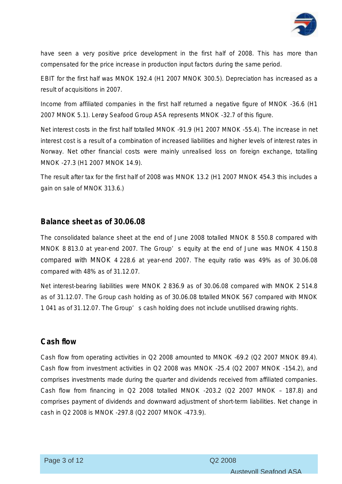

have seen a very positive price development in the first half of 2008. This has more than compensated for the price increase in production input factors during the same period.

EBIT for the first half was MNOK 192.4 (H1 2007 MNOK 300.5). Depreciation has increased as a result of acquisitions in 2007.

Income from affiliated companies in the first half returned a negative figure of MNOK -36.6 (H1 2007 MNOK 5.1). Lerøy Seafood Group ASA represents MNOK -32.7 of this figure.

Net interest costs in the first half totalled MNOK -91.9 (H1 2007 MNOK -55.4). The increase in net interest cost is a result of a combination of increased liabilities and higher levels of interest rates in Norway. Net other financial costs were mainly unrealised loss on foreign exchange, totalling MNOK -27.3 (H1 2007 MNOK 14.9).

The result after tax for the first half of 2008 was MNOK 13.2 (H1 2007 MNOK 454.3 this includes a gain on sale of MNOK 313.6.)

# **Balance sheet as of 30.06.08**

The consolidated balance sheet at the end of June 2008 totalled MNOK 8 550.8 compared with MNOK 8 813.0 at year-end 2007. The Group' s equity at the end of June was MNOK 4 150.8 compared with MNOK 4 228.6 at year-end 2007. The equity ratio was 49% as of 30.06.08 compared with 48% as of 31.12.07.

Net interest-bearing liabilities were MNOK 2 836.9 as of 30.06.08 compared with MNOK 2 514.8 as of 31.12.07. The Group cash holding as of 30.06.08 totalled MNOK 567 compared with MNOK 1 041 as of 31.12.07. The Group' s cash holding does not include unutilised drawing rights.

# **Cash flow**

Cash flow from operating activities in Q2 2008 amounted to MNOK -69.2 (Q2 2007 MNOK 89.4). Cash flow from investment activities in Q2 2008 was MNOK -25.4 (Q2 2007 MNOK -154.2), and comprises investments made during the quarter and dividends received from affiliated companies. Cash flow from financing in Q2 2008 totalled MNOK -203.2 (Q2 2007 MNOK – 187.8) and comprises payment of dividends and downward adjustment of short-term liabilities. Net change in cash in Q2 2008 is MNOK -297.8 (Q2 2007 MNOK -473.9).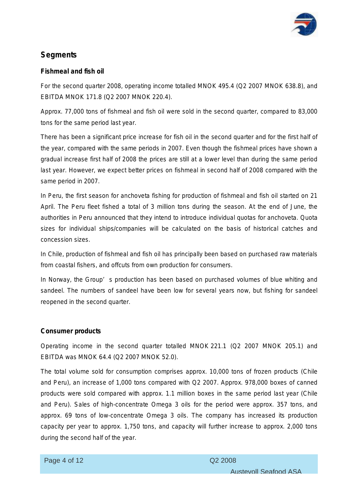

# **Segments**

# **Fishmeal and fish oil**

For the second quarter 2008, operating income totalled MNOK 495.4 (Q2 2007 MNOK 638.8), and EBITDA MNOK 171.8 (Q2 2007 MNOK 220.4).

Approx. 77,000 tons of fishmeal and fish oil were sold in the second quarter, compared to 83,000 tons for the same period last year.

There has been a significant price increase for fish oil in the second quarter and for the first half of the year, compared with the same periods in 2007. Even though the fishmeal prices have shown a gradual increase first half of 2008 the prices are still at a lower level than during the same period last year. However, we expect better prices on fishmeal in second half of 2008 compared with the same period in 2007.

In Peru, the first season for anchoveta fishing for production of fishmeal and fish oil started on 21 April. The Peru fleet fished a total of 3 million tons during the season. At the end of June, the authorities in Peru announced that they intend to introduce individual quotas for anchoveta. Quota sizes for individual ships/companies will be calculated on the basis of historical catches and concession sizes.

In Chile, production of fishmeal and fish oil has principally been based on purchased raw materials from coastal fishers, and offcuts from own production for consumers.

In Norway, the Group' s production has been based on purchased volumes of blue whiting and sandeel. The numbers of sandeel have been low for several years now, but fishing for sandeel reopened in the second quarter.

# **Consumer products**

Operating income in the second quarter totalled MNOK 221.1 (Q2 2007 MNOK 205.1) and EBITDA was MNOK 64.4 (Q2 2007 MNOK 52.0).

The total volume sold for consumption comprises approx. 10,000 tons of frozen products (Chile and Peru), an increase of 1,000 tons compared with Q2 2007. Approx. 978,000 boxes of canned products were sold compared with approx. 1.1 million boxes in the same period last year (Chile and Peru). Sales of high-concentrate Omega 3 oils for the period were approx. 357 tons, and approx. 69 tons of low-concentrate Omega 3 oils. The company has increased its production capacity per year to approx. 1,750 tons, and capacity will further increase to approx. 2,000 tons during the second half of the year.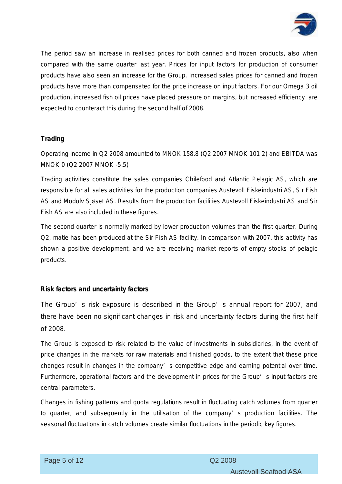

The period saw an increase in realised prices for both canned and frozen products, also when compared with the same quarter last year. Prices for input factors for production of consumer products have also seen an increase for the Group. Increased sales prices for canned and frozen products have more than compensated for the price increase on input factors. For our Omega 3 oil production, increased fish oil prices have placed pressure on margins, but increased efficiency are expected to counteract this during the second half of 2008.

# **Trading**

Operating income in Q2 2008 amounted to MNOK 158.8 (Q2 2007 MNOK 101.2) and EBITDA was MNOK 0 (Q2 2007 MNOK -5.5)

Trading activities constitute the sales companies Chilefood and Atlantic Pelagic AS, which are responsible for all sales activities for the production companies Austevoll Fiskeindustri AS, Sir Fish AS and Modolv Sjøset AS. Results from the production facilities Austevoll Fiskeindustri AS and Sir Fish AS are also included in these figures.

The second quarter is normally marked by lower production volumes than the first quarter. During Q2, matie has been produced at the Sir Fish AS facility. In comparison with 2007, this activity has shown a positive development, and we are receiving market reports of empty stocks of pelagic products.

# **Risk factors and uncertainty factors**

The Group' s risk exposure is described in the Group' s annual report for 2007, and there have been no significant changes in risk and uncertainty factors during the first half of 2008.

The Group is exposed to risk related to the value of investments in subsidiaries, in the event of price changes in the markets for raw materials and finished goods, to the extent that these price changes result in changes in the company' s competitive edge and earning potential over time. Furthermore, operational factors and the development in prices for the Group' s input factors are central parameters.

Changes in fishing patterns and quota regulations result in fluctuating catch volumes from quarter to quarter, and subsequently in the utilisation of the company' s production facilities. The seasonal fluctuations in catch volumes create similar fluctuations in the periodic key figures.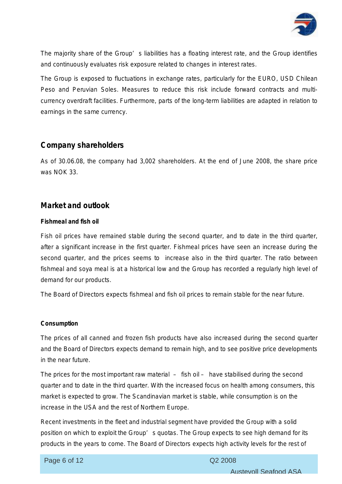

The majority share of the Group' s liabilities has a floating interest rate, and the Group identifies and continuously evaluates risk exposure related to changes in interest rates.

The Group is exposed to fluctuations in exchange rates, particularly for the EURO, USD Chilean Peso and Peruvian Soles. Measures to reduce this risk include forward contracts and multicurrency overdraft facilities. Furthermore, parts of the long-term liabilities are adapted in relation to earnings in the same currency.

# **Company shareholders**

As of 30.06.08, the company had 3,002 shareholders. At the end of June 2008, the share price was NOK 33.

# **Market and outlook**

# **Fishmeal and fish oil**

Fish oil prices have remained stable during the second quarter, and to date in the third quarter, after a significant increase in the first quarter. Fishmeal prices have seen an increase during the second quarter, and the prices seems to increase also in the third quarter. The ratio between fishmeal and soya meal is at a historical low and the Group has recorded a regularly high level of demand for our products.

The Board of Directors expects fishmeal and fish oil prices to remain stable for the near future.

# **Consumption**

The prices of all canned and frozen fish products have also increased during the second quarter and the Board of Directors expects demand to remain high, and to see positive price developments in the near future.

The prices for the most important raw material – fish oil – have stabilised during the second quarter and to date in the third quarter. With the increased focus on health among consumers, this market is expected to grow. The Scandinavian market is stable, while consumption is on the increase in the USA and the rest of Northern Europe.

Recent investments in the fleet and industrial segment have provided the Group with a solid position on which to exploit the Group' s quotas. The Group expects to see high demand for its products in the years to come. The Board of Directors expects high activity levels for the rest of

# Page 6 of 12 Q2 2008

ī

Austevoll Seafood ASA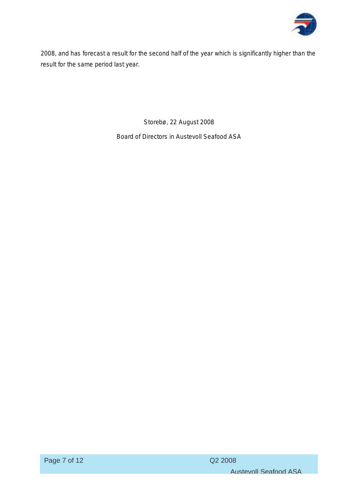

2008, and has forecast a result for the second half of the year which is significantly higher than the result for the same period last year.

Storebø, 22 August 2008

Board of Directors in Austevoll Seafood ASA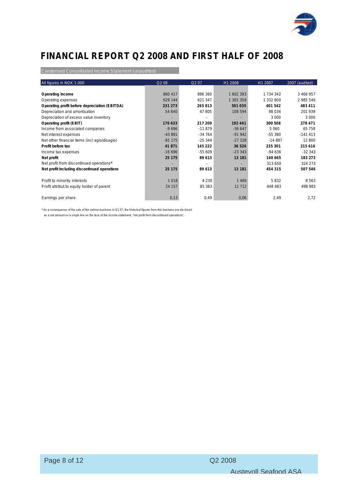

# **FINANCIAL REPORT Q2 2008 AND FIRST HALF OF 2008**

Condensed Consolidated Income Statement (unaudited)

| All figures in NOK 1.000                      | Q2 08    | Q <sub>2</sub> 07 | H1 2008   | H1 2007       | 2007 (audited) |
|-----------------------------------------------|----------|-------------------|-----------|---------------|----------------|
|                                               |          |                   |           |               |                |
| Operating income                              | 860 417  | 886 360           | 1602393   | 1 7 3 4 3 4 2 | 3 468 957      |
| Operating expenses                            | 629 144  | 621 347           | 1 301 358 | 1 332 800     | 2 985 546      |
| Operating profit before depreciation (EBITDA) | 231 273  | 265 013           | 301 035   | 401 542       | 483 411        |
| Depreciation and amortisation                 | 54 640   | 47 805            | 108 594   | 98 0 34       | 201 939        |
| Depreciation of excess value inventory        |          |                   |           | 3 0 0 0       | 3 0 0 0        |
| Operating profit (EBIT)                       | 176 633  | 217 209           | 192 441   | 300 508       | 278 471        |
| Income from associated companies              | $-9696$  | $-11879$          | $-36647$  | 5 0 6 0       | 65 758         |
| Net interest expenses                         | $-43891$ | $-34764$          | $-91942$  | -55 380       | $-141413$      |
| Net other financial items (incl agio/disagio) | $-81175$ | $-25344$          | $-27328$  | $-14887$      | 12 800         |
| Profit before tax                             | 41 871   | 145 222           | 36 524    | 235 301       | 215 616        |
| Income tax expenses                           | $-16696$ | $-55609$          | $-233343$ | $-94636$      | $-32343$       |
| Net profit                                    | 25 175   | 89 613            | 13 181    | 140 665       | 183 273        |
| Net profit from discontinued operations*      |          |                   |           | 313 650       | 324 273        |
| Net profit including discontinued operations  | 25 175   | 89 613            | 13 181    | 454 315       | 507 546        |
|                                               |          |                   |           |               |                |
| Profit to minority interests                  | 1 0 1 8  | 4 2 3 0           | 1469      | 5832          | 8563           |
| Profit attribut to equity holder of parent    | 24 157   | 85 383            | 11 7 12   | 448 483       | 498 983        |
|                                               |          |                   |           |               |                |
| Earnings per share                            | 0,13     | 0,49              | 0,06      | 2,49          | 2,72           |

\* As a consequense of the sale of the salmon business in Q1 07, the historical figures from this business are disclosed

as a net amount on a single line on the face of the income statement, "net profit from discontinued operations".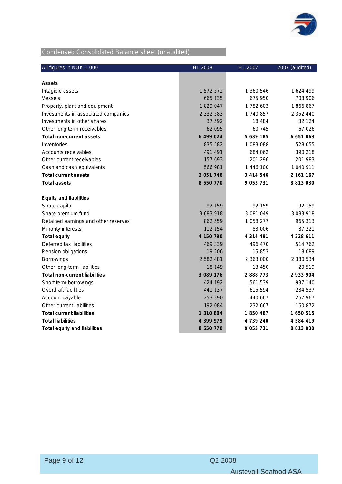

# Condensed Consolidated Balance sheet (unaudited)

| All figures in NOK 1.000             | H1 2008       | H1 2007   | 2007 (audited) |
|--------------------------------------|---------------|-----------|----------------|
|                                      |               |           |                |
| Assets                               |               |           |                |
| Intagible assets                     | 1 572 572     | 1 360 546 | 1 624 499      |
| Vessels                              | 665 135       | 675 950   | 708 906        |
| Property, plant and equipment        | 1829047       | 1782603   | 1866867        |
| Investments in associated companies  | 2 332 583     | 1740857   | 2 352 440      |
| Investments in other shares          | 37 592        | 18 4 84   | 32 124         |
| Other long term receivables          | 62 095        | 60 745    | 67 026         |
| Total non-current assets             | 6 499 024     | 5 639 185 | 6 651 863      |
| Inventories                          | 835 582       | 1083088   | 528 055        |
| Accounts receivables                 | 491 491       | 684 062   | 390 218        |
| Other current receivables            | 157 693       | 201 296   | 201 983        |
| Cash and cash equivalents            | 566 981       | 1 446 100 | 1 040 911      |
| Total current assets                 | 2 0 5 1 7 4 6 | 3 414 546 | 2 161 167      |
| <b>Total assets</b>                  | 8 550 770     | 9 053 731 | 8 8 1 3 0 3 0  |
| Equity and liabilities               |               |           |                |
| Share capital                        | 92 159        | 92 159    | 92 159         |
| Share premium fund                   | 3 083 918     | 3 081 049 | 3 083 918      |
| Retained earnings and other reserves | 862 559       | 1058277   | 965 313        |
| Minority interests                   | 112 154       | 83 006    | 87 221         |
| Total equity                         | 4 150 790     | 4 314 491 | 4 228 611      |
| Deferred tax liabilities             | 469 339       | 496 470   | 514 762        |
| Pension obligations                  | 19 20 6       | 15853     | 18 089         |
| <b>Borrowings</b>                    | 2 582 481     | 2 363 000 | 2 380 534      |
| Other long-term liabilities          | 18 149        | 13 450    | 20 519         |
| Total non-current liabilities        | 3 089 176     | 2 888 773 | 2 933 904      |
| Short term borrowings                | 424 192       | 561 539   | 937 140        |
| Overdraft facilities                 | 441 137       | 615 594   | 284 537        |
| Account payable                      | 253 390       | 440 667   | 267 967        |
| Other current liabilities            | 192 084       | 232 667   | 160 872        |
| <b>Total current liabilities</b>     | 1 310 804     | 1850467   | 1 650 515      |
| <b>Total liabilities</b>             | 4 399 979     | 4 739 240 | 4 5 8 4 4 1 9  |
| Total equity and liabilities         | 8 550 770     | 9 053 731 | 8 813 030      |

ī

Austevoll Seafood ASA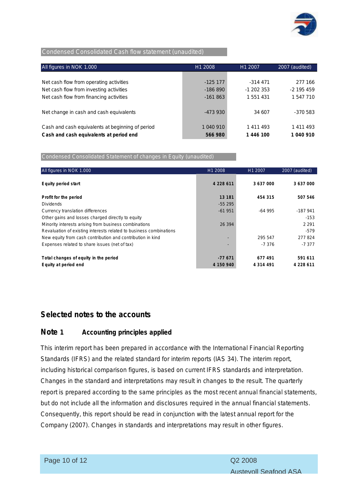

#### Condensed Consolidated Cash flow statement (unaudited)

| All figures in NOK 1.000                         | H1 2008   | H1 2007      | 2007 (audited) |  |
|--------------------------------------------------|-----------|--------------|----------------|--|
|                                                  |           |              |                |  |
| Net cash flow from operating activities          | $-12517$  | -314 471     | 277 166        |  |
| Net cash flow from investing activities          | $-186890$ | $-1$ 202 353 | $-2$ 195 459   |  |
| Net cash flow from financing activities          | $-161863$ | 1 551 431    | 1 547 710      |  |
|                                                  |           |              |                |  |
| Net change in cash and cash equivalents          | -473 930  | 34 607       | $-370583$      |  |
|                                                  |           |              |                |  |
| Cash and cash equivalents at beginning of period | 1 040 910 | 1 411 493    | 1 411 493      |  |
| Cash and cash equivalents at period end          | 566 980   | 1 446 100    | 1 040 910      |  |

Condensed Consolidated Statement of changes in Equity (unaudited)

| All figures in NOK 1.000                                           | H <sub>1</sub> 2008      | H1 2007       | 2007 (audited) |
|--------------------------------------------------------------------|--------------------------|---------------|----------------|
| Equity period start                                                | 4 2 2 8 6 1 1            | 3 637 000     | 3 637 000      |
| Profit for the period                                              | 13 181                   | 454 315       | 507 546        |
| <b>Dividends</b>                                                   | $-55295$                 |               |                |
| Currency translation differences                                   | $-61951$                 | $-64995$      | $-187941$      |
| Other gains and losses charged directly to equity                  |                          |               | $-153$         |
| Minority interests arising from business combinations              | 26 394                   |               | 2 2 9 1        |
| Revaluation of existing interests related to business combinations |                          |               | $-579$         |
| New equity from cash contribution and contribution in kind         | $\overline{\phantom{a}}$ | 295 547       | 277824         |
| Expenses related to share issues (net of tax)                      | ٠                        | $-7376$       | $-7377$        |
|                                                                    |                          |               |                |
| Total changes of equity in the period                              | $-77671$                 | 677 491       | 591 611        |
| Equity at period end                                               | 4 150 940                | 4 3 1 4 4 9 1 | 4 228 611      |

# **Selected notes to the accounts**

# **Note 1 Accounting principles applied**

This interim report has been prepared in accordance with the International Financial Reporting Standards (IFRS) and the related standard for interim reports (IAS 34). The interim report, including historical comparison figures, is based on current IFRS standards and interpretation. Changes in the standard and interpretations may result in changes to the result. The quarterly report is prepared according to the same principles as the most recent annual financial statements, but do not include all the information and disclosures required in the annual financial statements. Consequently, this report should be read in conjunction with the latest annual report for the Company (2007). Changes in standards and interpretations may result in other figures.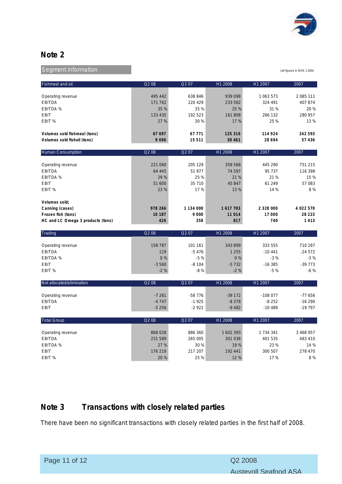

# **Note 2**

Segment information and the state of the state of the state of the state of the state of the state of the state of the state of the state of the state of the state of the state of the state of the state of the state of the

| Fishmeal and oil                   | Q208    | Q207              | H1 2008  | H1 2007       | 2007      |
|------------------------------------|---------|-------------------|----------|---------------|-----------|
| Operating revenue                  | 495 442 | 638 846           | 939 098  | 1 063 573     | 2 085 111 |
|                                    | 171 762 | 220 429           | 233 562  | 324 491       | 407874    |
| <b>EBITDA</b><br><b>EBITDA %</b>   | 35 %    | 35 %              | 25 %     | 31 %          | 20 %      |
| <b>EBIT</b>                        | 133 435 | 192 523           | 161808   | 266 132       | 280 957   |
|                                    |         |                   |          |               |           |
| EBIT %                             | 27 %    | 30%               | 17 %     | 25 %          | 13 %      |
| Volumes sold fishmeal (tons)       | 67 697  | 67 7 7 1          | 125 316  | 114 924       | 242 593   |
| Volumes sold fishoil (tons)        | 9696    | 15 5 11           | 30 461   | 28 694        | 57 436    |
| <b>Human Consumption</b>           | Q2 08   | Q <sub>2</sub> 07 | H1 2008  | H1 2007       | 2007      |
|                                    |         |                   |          |               |           |
| Operating revenue                  | 221 060 | 205 129           | 358 568  | 445 290       | 751 215   |
| <b>EBITDA</b>                      | 64 445  | 51 977            | 74 597   | 95 737        | 116 398   |
| <b>EBITDA %</b>                    | 29 %    | 25 %              | 21 %     | 21 %          | 15 %      |
| <b>EBIT</b>                        | 51 600  | 35 710            | 45 847   | 61 249        | 57 083    |
| EBIT %                             | 23 %    | 17%               | 13 %     | 14 %          | 8%        |
| Volumes sold;                      |         |                   |          |               |           |
| Canning (cases)                    | 978 266 | 1 134 000         | 1617703  | 2 3 2 8 0 0 0 | 4 022 570 |
| Frozen fish (tons)                 | 10 187  | 9 0 0 0           | 11 014   | 17 000        | 28 223    |
| HC and LC Omega 3 products (tons)  | 426     | 358               | 817      | 740           | 1413      |
|                                    |         |                   |          |               |           |
| Trading                            | Q2 08   | Q207              | H1 2008  | H1 2007       | 2007      |
| Operating revenue                  | 158 787 | 101 161           | 343899   | 333 555       | 710 287   |
| <b>EBITDA</b>                      | 129     | $-5476$           | 1 2 5 5  | $-10441$      | $-24572$  |
| <b>EBITDA %</b>                    | 0%      | $-5%$             | 0%       | $-3%$         | $-3%$     |
| <b>EBIT</b>                        | $-3560$ | $-8104$           | $-5732$  | $-16385$      | $-39773$  |
| EBIT %                             | $-2%$   | $-8%$             | $-2%$    | $-5%$         | $-6%$     |
|                                    |         |                   |          |               |           |
| Not allocated/elimination          | Q2 08   | Q207              | H1 2008  | H1 2007       | 2007      |
|                                    | $-7261$ | $-58776$          | $-39172$ | $-108077$     | $-77656$  |
| Operating revenue<br><b>EBITDA</b> | $-4747$ | $-1925$           | $-8378$  | $-8252$       | $-16290$  |
| <b>EBIT</b>                        | $-5256$ | $-2922$           | $-9482$  | $-10489$      | -19 797   |
|                                    |         |                   |          |               |           |
| <b>Total Group</b>                 | Q2 08   | Q207              | H1 2008  | H1 2007       | 2007      |
| Operating revenue                  | 868028  | 886 360           | 1602393  | 1 734 341     | 3 468 957 |
| <b>EBITDA</b>                      | 231 589 | 265 005           | 301 036  | 401 535       | 483 410   |
| <b>EBITDA %</b>                    | 27 %    | 30%               | 19 %     | 23 %          | 14 %      |
| <b>EBIT</b>                        | 176 219 | 217 207           | 192 441  | 300 507       | 278 470   |
| EBIT %                             | 20 %    | 25 %              | 12 %     | 17 %          | 8%        |
|                                    |         |                   |          |               |           |

# **Note 3 Transactions with closely related parties**

There have been no significant transactions with closely related parties in the first half of 2008.